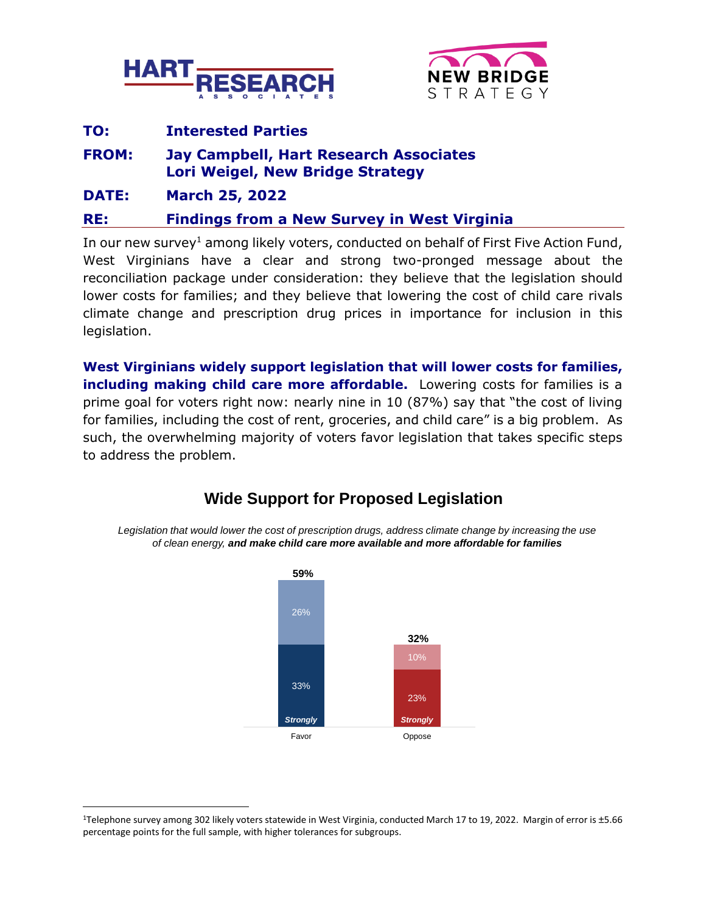



## **TO: Interested Parties**

**FROM: Jay Campbell, Hart Research Associates Lori Weigel, New Bridge Strategy**

**DATE: March 25, 2022**

**RE: Findings from a New Survey in West Virginia**

In our new survey<sup>1</sup> among likely voters, conducted on behalf of First Five Action Fund, West Virginians have a clear and strong two-pronged message about the reconciliation package under consideration: they believe that the legislation should lower costs for families; and they believe that lowering the cost of child care rivals climate change and prescription drug prices in importance for inclusion in this legislation.

**West Virginians widely support legislation that will lower costs for families, including making child care more affordable.** Lowering costs for families is a prime goal for voters right now: nearly nine in 10 (87%) say that "the cost of living for families, including the cost of rent, groceries, and child care" is a big problem. As such, the overwhelming majority of voters favor legislation that takes specific steps to address the problem.



# **Wide Support for Proposed Legislation**

*Legislation that would lower the cost of prescription drugs, address climate change by increasing the use of clean energy, and make child care more available and more affordable for families*

<sup>1</sup>Telephone survey among 302 likely voters statewide in West Virginia, conducted March 17 to 19, 2022. Margin of error is ±5.66 percentage points for the full sample, with higher tolerances for subgroups.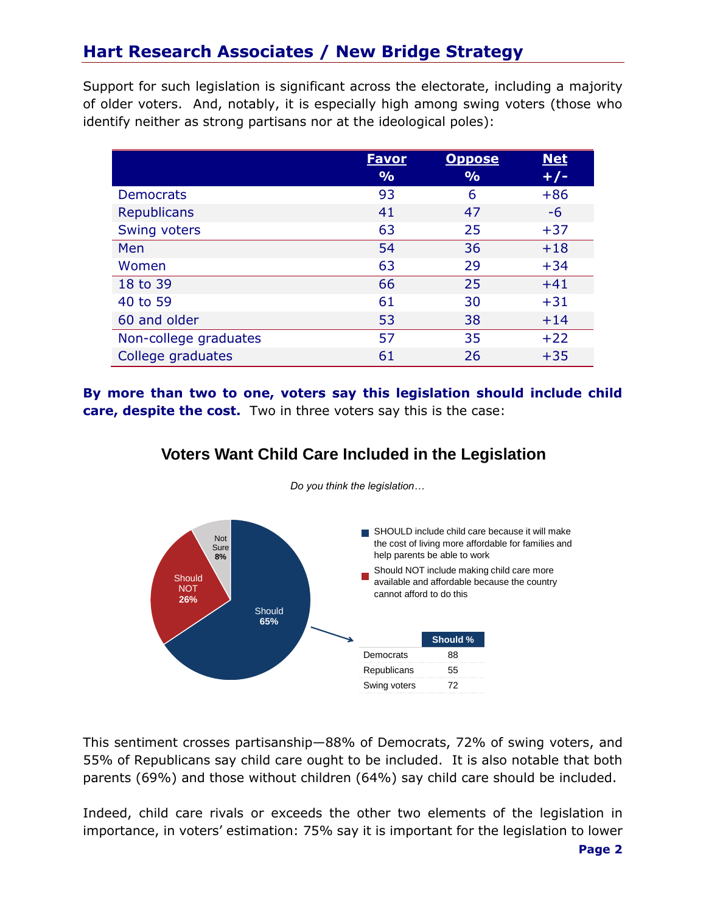# **Hart Research Associates / New Bridge Strategy**

Support for such legislation is significant across the electorate, including a majority of older voters. And, notably, it is especially high among swing voters (those who identify neither as strong partisans nor at the ideological poles):

|                       | <u>Favor</u>  | <b>Oppose</b> | <b>Net</b> |
|-----------------------|---------------|---------------|------------|
|                       | $\frac{9}{6}$ | $\frac{9}{0}$ | $+/-$      |
| <b>Democrats</b>      | 93            | 6             | $+86$      |
| <b>Republicans</b>    | 41            | 47            | -6         |
| Swing voters          | 63            | 25            | $+37$      |
| Men                   | 54            | 36            | $+18$      |
| Women                 | 63            | 29            | $+34$      |
| 18 to 39              | 66            | 25            | $+41$      |
| 40 to 59              | 61            | 30            | $+31$      |
| 60 and older          | 53            | 38            | $+14$      |
| Non-college graduates | 57            | 35            | $+22$      |
| College graduates     | 61            | 26            | $+35$      |

**By more than two to one, voters say this legislation should include child care, despite the cost.** Two in three voters say this is the case:



*Do you think the legislation…* 

**Voters Want Child Care Included in the Legislation**

This sentiment crosses partisanship—88% of Democrats, 72% of swing voters, and 55% of Republicans say child care ought to be included. It is also notable that both parents (69%) and those without children (64%) say child care should be included.

Indeed, child care rivals or exceeds the other two elements of the legislation in importance, in voters' estimation: 75% say it is important for the legislation to lower